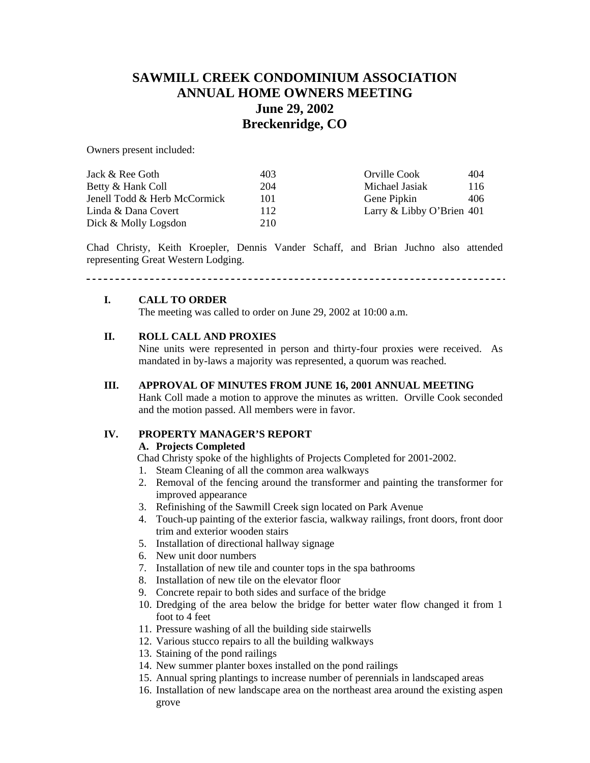# **SAWMILL CREEK CONDOMINIUM ASSOCIATION ANNUAL HOME OWNERS MEETING June 29, 2002 Breckenridge, CO**

Owners present included:

| Jack & Ree Goth              | 403 | 404<br>Orville Cook         |
|------------------------------|-----|-----------------------------|
| Betty & Hank Coll            | 204 | Michael Jasiak<br>116       |
| Jenell Todd & Herb McCormick | 101 | Gene Pipkin<br>406          |
| Linda & Dana Covert          | 112 | Larry & Libby O'Brien $401$ |
| Dick & Molly Logsdon         | 210 |                             |

Chad Christy, Keith Kroepler, Dennis Vander Schaff, and Brian Juchno also attended representing Great Western Lodging.

# 

### **I. CALL TO ORDER**

The meeting was called to order on June 29, 2002 at 10:00 a.m.

## **II. ROLL CALL AND PROXIES**

Nine units were represented in person and thirty-four proxies were received. As mandated in by-laws a majority was represented, a quorum was reached.

### **III. APPROVAL OF MINUTES FROM JUNE 16, 2001 ANNUAL MEETING**

Hank Coll made a motion to approve the minutes as written. Orville Cook seconded and the motion passed. All members were in favor.

## **IV. PROPERTY MANAGER'S REPORT**

## **A. Projects Completed**

Chad Christy spoke of the highlights of Projects Completed for 2001-2002.

- 1. Steam Cleaning of all the common area walkways
- 2. Removal of the fencing around the transformer and painting the transformer for improved appearance
- 3. Refinishing of the Sawmill Creek sign located on Park Avenue
- 4. Touch-up painting of the exterior fascia, walkway railings, front doors, front door trim and exterior wooden stairs
- 5. Installation of directional hallway signage
- 6. New unit door numbers
- 7. Installation of new tile and counter tops in the spa bathrooms
- 8. Installation of new tile on the elevator floor
- 9. Concrete repair to both sides and surface of the bridge
- 10. Dredging of the area below the bridge for better water flow changed it from 1 foot to 4 feet
- 11. Pressure washing of all the building side stairwells
- 12. Various stucco repairs to all the building walkways
- 13. Staining of the pond railings
- 14. New summer planter boxes installed on the pond railings
- 15. Annual spring plantings to increase number of perennials in landscaped areas
- 16. Installation of new landscape area on the northeast area around the existing aspen grove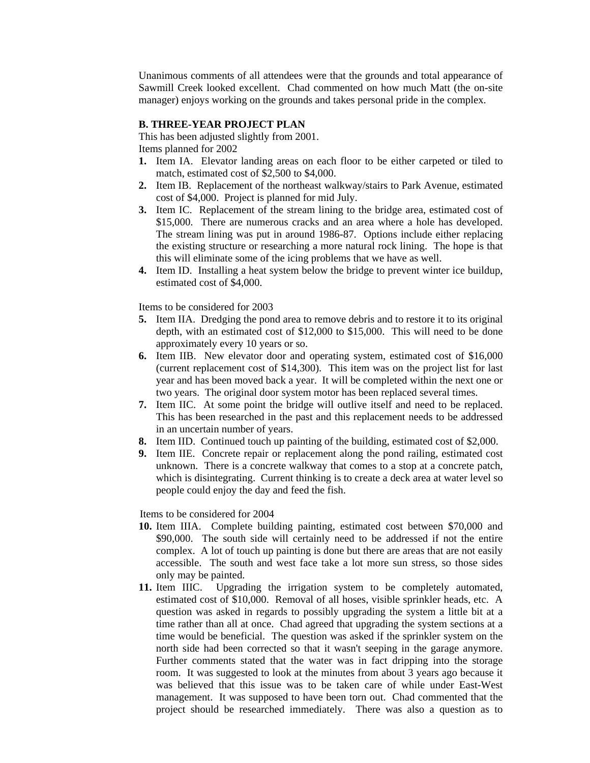Unanimous comments of all attendees were that the grounds and total appearance of Sawmill Creek looked excellent. Chad commented on how much Matt (the on-site manager) enjoys working on the grounds and takes personal pride in the complex.

#### **B. THREE-YEAR PROJECT PLAN**

This has been adjusted slightly from 2001.

Items planned for 2002

- **1.** Item IA. Elevator landing areas on each floor to be either carpeted or tiled to match, estimated cost of \$2,500 to \$4,000.
- **2.** Item IB. Replacement of the northeast walkway/stairs to Park Avenue, estimated cost of \$4,000. Project is planned for mid July.
- **3.** Item IC. Replacement of the stream lining to the bridge area, estimated cost of \$15,000. There are numerous cracks and an area where a hole has developed. The stream lining was put in around 1986-87. Options include either replacing the existing structure or researching a more natural rock lining. The hope is that this will eliminate some of the icing problems that we have as well.
- **4.** Item ID. Installing a heat system below the bridge to prevent winter ice buildup, estimated cost of \$4,000.

Items to be considered for 2003

- **5.** Item IIA. Dredging the pond area to remove debris and to restore it to its original depth, with an estimated cost of \$12,000 to \$15,000. This will need to be done approximately every 10 years or so.
- **6.** Item IIB. New elevator door and operating system, estimated cost of \$16,000 (current replacement cost of \$14,300). This item was on the project list for last year and has been moved back a year. It will be completed within the next one or two years. The original door system motor has been replaced several times.
- **7.** Item IIC. At some point the bridge will outlive itself and need to be replaced. This has been researched in the past and this replacement needs to be addressed in an uncertain number of years.
- **8.** Item IID. Continued touch up painting of the building, estimated cost of \$2,000.
- **9.** Item IIE. Concrete repair or replacement along the pond railing, estimated cost unknown. There is a concrete walkway that comes to a stop at a concrete patch, which is disintegrating. Current thinking is to create a deck area at water level so people could enjoy the day and feed the fish.

Items to be considered for 2004

- **10.** Item IIIA. Complete building painting, estimated cost between \$70,000 and \$90,000. The south side will certainly need to be addressed if not the entire complex. A lot of touch up painting is done but there are areas that are not easily accessible. The south and west face take a lot more sun stress, so those sides only may be painted.
- **11.** Item IIIC. Upgrading the irrigation system to be completely automated, estimated cost of \$10,000. Removal of all hoses, visible sprinkler heads, etc. A question was asked in regards to possibly upgrading the system a little bit at a time rather than all at once. Chad agreed that upgrading the system sections at a time would be beneficial. The question was asked if the sprinkler system on the north side had been corrected so that it wasn't seeping in the garage anymore. Further comments stated that the water was in fact dripping into the storage room. It was suggested to look at the minutes from about 3 years ago because it was believed that this issue was to be taken care of while under East-West management. It was supposed to have been torn out. Chad commented that the project should be researched immediately. There was also a question as to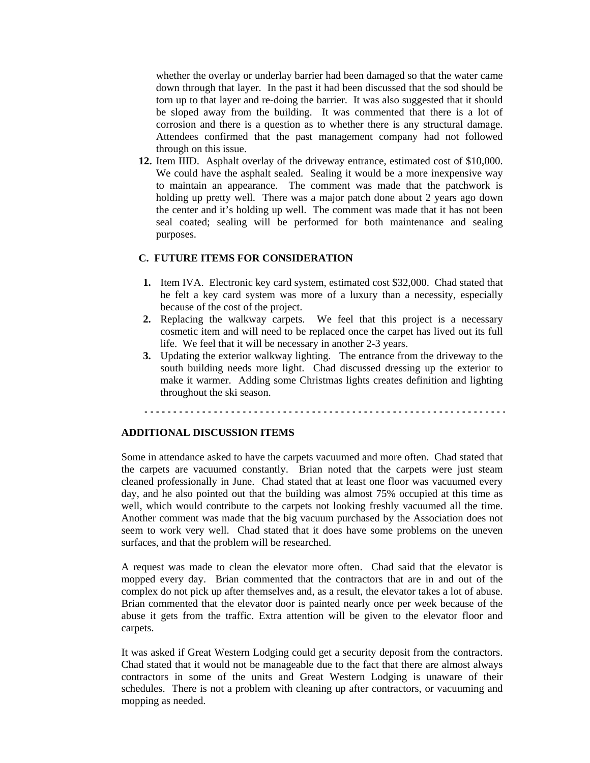whether the overlay or underlay barrier had been damaged so that the water came down through that layer. In the past it had been discussed that the sod should be torn up to that layer and re-doing the barrier. It was also suggested that it should be sloped away from the building. It was commented that there is a lot of corrosion and there is a question as to whether there is any structural damage. Attendees confirmed that the past management company had not followed through on this issue.

**12.** Item IIID. Asphalt overlay of the driveway entrance, estimated cost of \$10,000. We could have the asphalt sealed. Sealing it would be a more inexpensive way to maintain an appearance. The comment was made that the patchwork is holding up pretty well. There was a major patch done about 2 years ago down the center and it's holding up well. The comment was made that it has not been seal coated; sealing will be performed for both maintenance and sealing purposes.

## **C. FUTURE ITEMS FOR CONSIDERATION**

- **1.** Item IVA. Electronic key card system, estimated cost \$32,000. Chad stated that he felt a key card system was more of a luxury than a necessity, especially because of the cost of the project.
- **2.** Replacing the walkway carpets. We feel that this project is a necessary cosmetic item and will need to be replaced once the carpet has lived out its full life. We feel that it will be necessary in another 2-3 years.
- **3.** Updating the exterior walkway lighting. The entrance from the driveway to the south building needs more light. Chad discussed dressing up the exterior to make it warmer. Adding some Christmas lights creates definition and lighting throughout the ski season.

#### **ADDITIONAL DISCUSSION ITEMS**

Some in attendance asked to have the carpets vacuumed and more often. Chad stated that the carpets are vacuumed constantly. Brian noted that the carpets were just steam cleaned professionally in June. Chad stated that at least one floor was vacuumed every day, and he also pointed out that the building was almost 75% occupied at this time as well, which would contribute to the carpets not looking freshly vacuumed all the time. Another comment was made that the big vacuum purchased by the Association does not seem to work very well. Chad stated that it does have some problems on the uneven surfaces, and that the problem will be researched.

A request was made to clean the elevator more often. Chad said that the elevator is mopped every day. Brian commented that the contractors that are in and out of the complex do not pick up after themselves and, as a result, the elevator takes a lot of abuse. Brian commented that the elevator door is painted nearly once per week because of the abuse it gets from the traffic. Extra attention will be given to the elevator floor and carpets.

It was asked if Great Western Lodging could get a security deposit from the contractors. Chad stated that it would not be manageable due to the fact that there are almost always contractors in some of the units and Great Western Lodging is unaware of their schedules. There is not a problem with cleaning up after contractors, or vacuuming and mopping as needed.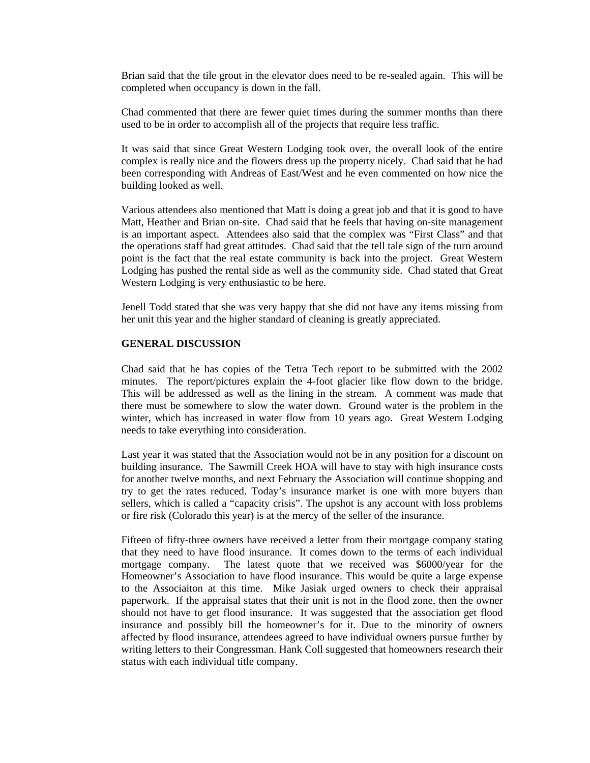Brian said that the tile grout in the elevator does need to be re-sealed again. This will be completed when occupancy is down in the fall.

Chad commented that there are fewer quiet times during the summer months than there used to be in order to accomplish all of the projects that require less traffic.

It was said that since Great Western Lodging took over, the overall look of the entire complex is really nice and the flowers dress up the property nicely. Chad said that he had been corresponding with Andreas of East/West and he even commented on how nice the building looked as well.

Various attendees also mentioned that Matt is doing a great job and that it is good to have Matt, Heather and Brian on-site. Chad said that he feels that having on-site management is an important aspect. Attendees also said that the complex was "First Class" and that the operations staff had great attitudes. Chad said that the tell tale sign of the turn around point is the fact that the real estate community is back into the project. Great Western Lodging has pushed the rental side as well as the community side. Chad stated that Great Western Lodging is very enthusiastic to be here.

Jenell Todd stated that she was very happy that she did not have any items missing from her unit this year and the higher standard of cleaning is greatly appreciated.

### **GENERAL DISCUSSION**

Chad said that he has copies of the Tetra Tech report to be submitted with the 2002 minutes. The report/pictures explain the 4-foot glacier like flow down to the bridge. This will be addressed as well as the lining in the stream. A comment was made that there must be somewhere to slow the water down. Ground water is the problem in the winter, which has increased in water flow from 10 years ago. Great Western Lodging needs to take everything into consideration.

Last year it was stated that the Association would not be in any position for a discount on building insurance. The Sawmill Creek HOA will have to stay with high insurance costs for another twelve months, and next February the Association will continue shopping and try to get the rates reduced. Today's insurance market is one with more buyers than sellers, which is called a "capacity crisis". The upshot is any account with loss problems or fire risk (Colorado this year) is at the mercy of the seller of the insurance.

Fifteen of fifty-three owners have received a letter from their mortgage company stating that they need to have flood insurance. It comes down to the terms of each individual mortgage company. The latest quote that we received was \$6000/year for the Homeowner's Association to have flood insurance. This would be quite a large expense to the Associaiton at this time. Mike Jasiak urged owners to check their appraisal paperwork. If the appraisal states that their unit is not in the flood zone, then the owner should not have to get flood insurance. It was suggested that the association get flood insurance and possibly bill the homeowner's for it. Due to the minority of owners affected by flood insurance, attendees agreed to have individual owners pursue further by writing letters to their Congressman. Hank Coll suggested that homeowners research their status with each individual title company.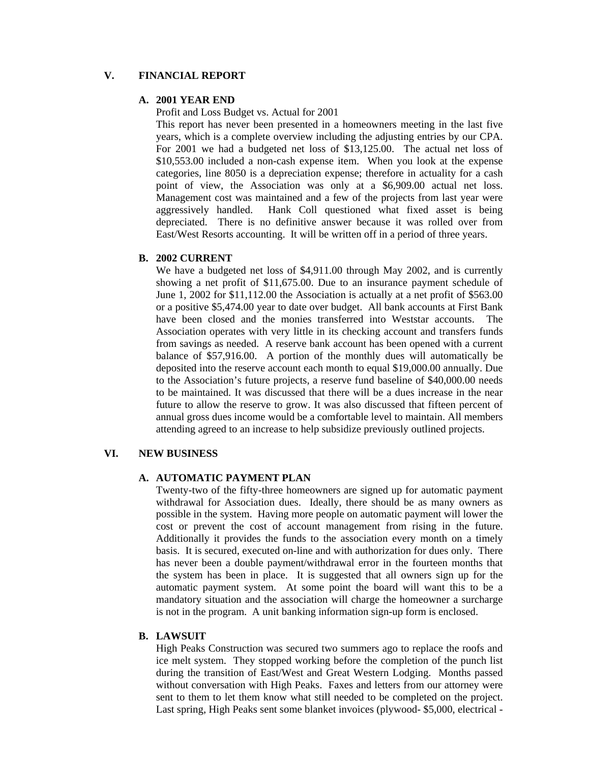## **V. FINANCIAL REPORT**

## **A. 2001 YEAR END**

Profit and Loss Budget vs. Actual for 2001

This report has never been presented in a homeowners meeting in the last five years, which is a complete overview including the adjusting entries by our CPA. For 2001 we had a budgeted net loss of \$13,125.00. The actual net loss of \$10,553.00 included a non-cash expense item. When you look at the expense categories, line 8050 is a depreciation expense; therefore in actuality for a cash point of view, the Association was only at a \$6,909.00 actual net loss. Management cost was maintained and a few of the projects from last year were aggressively handled. Hank Coll questioned what fixed asset is being depreciated. There is no definitive answer because it was rolled over from East/West Resorts accounting. It will be written off in a period of three years.

### **B. 2002 CURRENT**

We have a budgeted net loss of \$4,911.00 through May 2002, and is currently showing a net profit of \$11,675.00. Due to an insurance payment schedule of June 1, 2002 for \$11,112.00 the Association is actually at a net profit of \$563.00 or a positive \$5,474.00 year to date over budget. All bank accounts at First Bank have been closed and the monies transferred into Weststar accounts. The Association operates with very little in its checking account and transfers funds from savings as needed. A reserve bank account has been opened with a current balance of \$57,916.00. A portion of the monthly dues will automatically be deposited into the reserve account each month to equal \$19,000.00 annually. Due to the Association's future projects, a reserve fund baseline of \$40,000.00 needs to be maintained. It was discussed that there will be a dues increase in the near future to allow the reserve to grow. It was also discussed that fifteen percent of annual gross dues income would be a comfortable level to maintain. All members attending agreed to an increase to help subsidize previously outlined projects.

## **VI. NEW BUSINESS**

#### **A. AUTOMATIC PAYMENT PLAN**

Twenty-two of the fifty-three homeowners are signed up for automatic payment withdrawal for Association dues. Ideally, there should be as many owners as possible in the system. Having more people on automatic payment will lower the cost or prevent the cost of account management from rising in the future. Additionally it provides the funds to the association every month on a timely basis. It is secured, executed on-line and with authorization for dues only. There has never been a double payment/withdrawal error in the fourteen months that the system has been in place. It is suggested that all owners sign up for the automatic payment system. At some point the board will want this to be a mandatory situation and the association will charge the homeowner a surcharge is not in the program. A unit banking information sign-up form is enclosed.

### **B. LAWSUIT**

High Peaks Construction was secured two summers ago to replace the roofs and ice melt system. They stopped working before the completion of the punch list during the transition of East/West and Great Western Lodging. Months passed without conversation with High Peaks. Faxes and letters from our attorney were sent to them to let them know what still needed to be completed on the project. Last spring, High Peaks sent some blanket invoices (plywood- \$5,000, electrical -